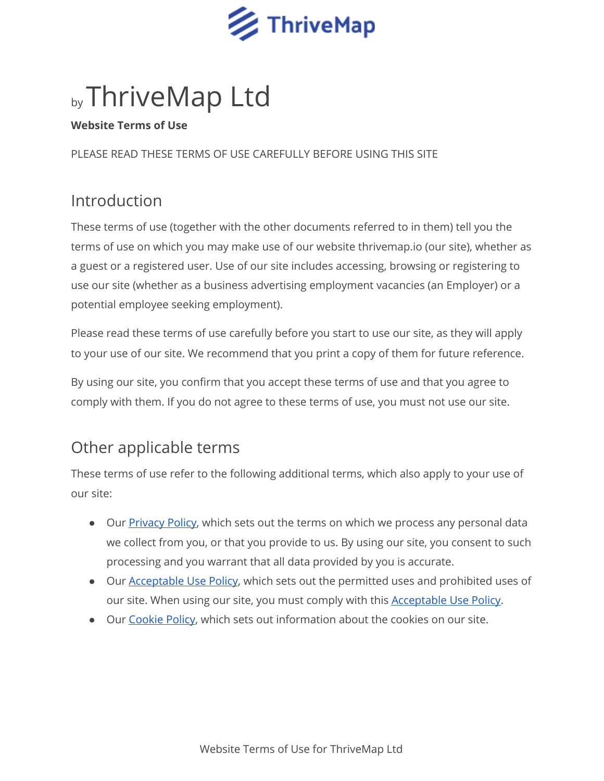

# by ThriveMap Ltd

#### **Website Terms of Use**

PLEASE READ THESE TERMS OF USE CAREFULLY BEFORE USING THIS SITE

### Introduction

These terms of use (together with the other documents referred to in them) tell you the terms of use on which you may make use of our website thrivemap.io (our site), whether as a guest or a registered user. Use of our site includes accessing, browsing or registering to use our site (whether as a business advertising employment vacancies (an Employer) or a potential employee seeking employment).

Please read these terms of use carefully before you start to use our site, as they will apply to your use of our site. We recommend that you print a copy of them for future reference.

By using our site, you confirm that you accept these terms of use and that you agree to comply with them. If you do not agree to these terms of use, you must not use our site.

# Other applicable terms

These terms of use refer to the following additional terms, which also apply to your use of our site:

- Our [Privacy](https://app.thrivemap.io/doc/privacy-policy.pdf) Policy, which sets out the terms on which we process any personal data we collect from you, or that you provide to us. By using our site, you consent to such processing and you warrant that all data provided by you is accurate.
- Our **[Acceptable](https://app.thrivemap.io/doc/acceptable-use-policy.pdf) Use Policy**, which sets out the permitted uses and prohibited uses of our site. When using our site, you must comply with this **[Acceptable](https://app.thrivemap.io/doc/acceptable-use-policy.pdf) Use Policy**.
- Our [Cookie](https://app.thrivemap.io/doc/cookie-policy.pdf) Policy, which sets out information about the cookies on our site.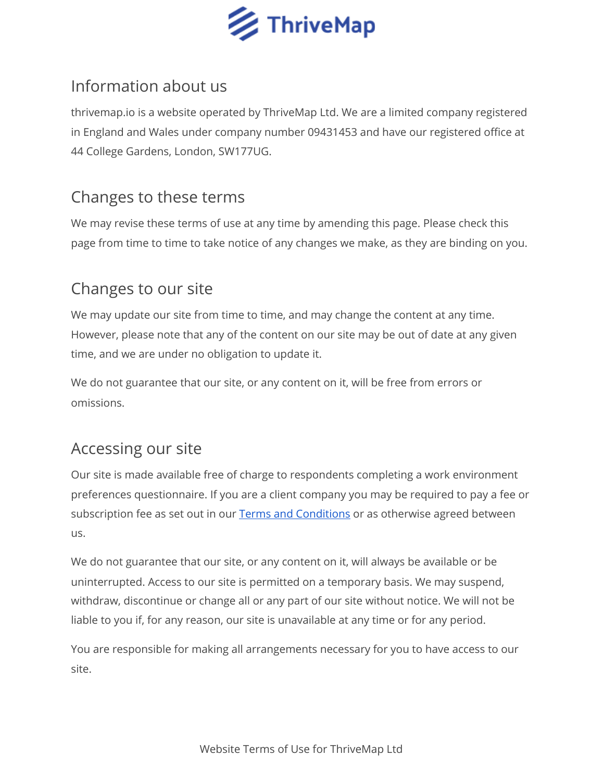

### Information about us

thrivemap.io is a website operated by ThriveMap Ltd. We are a limited company registered in England and Wales under company number 09431453 and have our registered office at 44 College Gardens, London, SW177UG.

#### Changes to these terms

We may revise these terms of use at any time by amending this page. Please check this page from time to time to take notice of any changes we make, as they are binding on you.

# Changes to our site

We may update our site from time to time, and may change the content at any time. However, please note that any of the content on our site may be out of date at any given time, and we are under no obligation to update it.

We do not guarantee that our site, or any content on it, will be free from errors or omissions.

# Accessing our site

Our site is made available free of charge to respondents completing a work environment preferences questionnaire. If you are a client company you may be required to pay a fee or subscription fee as set out in our Terms and [Conditions](https://app.thrivemap.io/doc/terms-and-conditions.pdf) or as otherwise agreed between us.

We do not guarantee that our site, or any content on it, will always be available or be uninterrupted. Access to our site is permitted on a temporary basis. We may suspend, withdraw, discontinue or change all or any part of our site without notice. We will not be liable to you if, for any reason, our site is unavailable at any time or for any period.

You are responsible for making all arrangements necessary for you to have access to our site.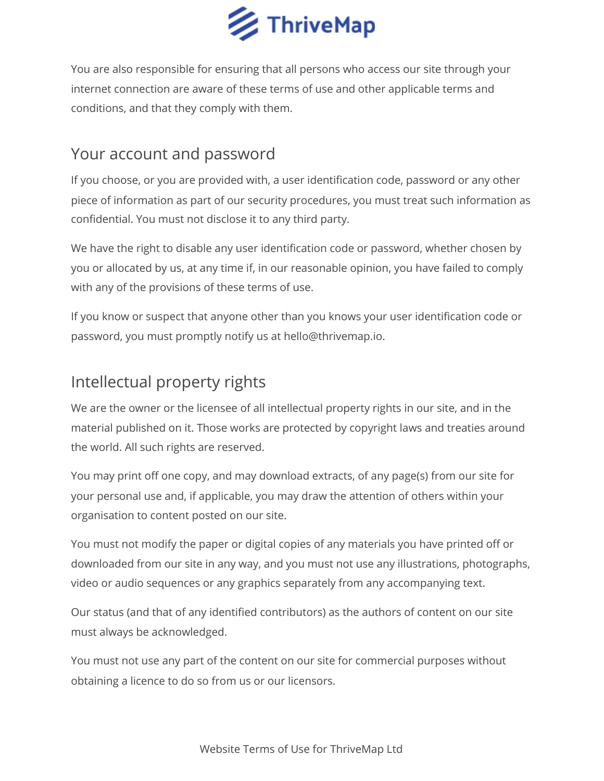

You are also responsible for ensuring that all persons who access our site through your internet connection are aware of these terms of use and other applicable terms and conditions, and that they comply with them.

#### Your account and password

If you choose, or you are provided with, a user identification code, password or any other piece of information as part of our security procedures, you must treat such information as confidential. You must not disclose it to any third party.

We have the right to disable any user identification code or password, whether chosen by you or allocated by us, at any time if, in our reasonable opinion, you have failed to comply with any of the provisions of these terms of use.

If you know or suspect that anyone other than you knows your user identification code or password, you must promptly notify us at hello@thrivemap.io.

### Intellectual property rights

We are the owner or the licensee of all intellectual property rights in our site, and in the material published on it. Those works are protected by copyright laws and treaties around the world. All such rights are reserved.

You may print off one copy, and may download extracts, of any page(s) from our site for your personal use and, if applicable, you may draw the attention of others within your organisation to content posted on our site.

You must not modify the paper or digital copies of any materials you have printed off or downloaded from our site in any way, and you must not use any illustrations, photographs, video or audio sequences or any graphics separately from any accompanying text.

Our status (and that of any identified contributors) as the authors of content on our site must always be acknowledged.

You must not use any part of the content on our site for commercial purposes without obtaining a licence to do so from us or our licensors.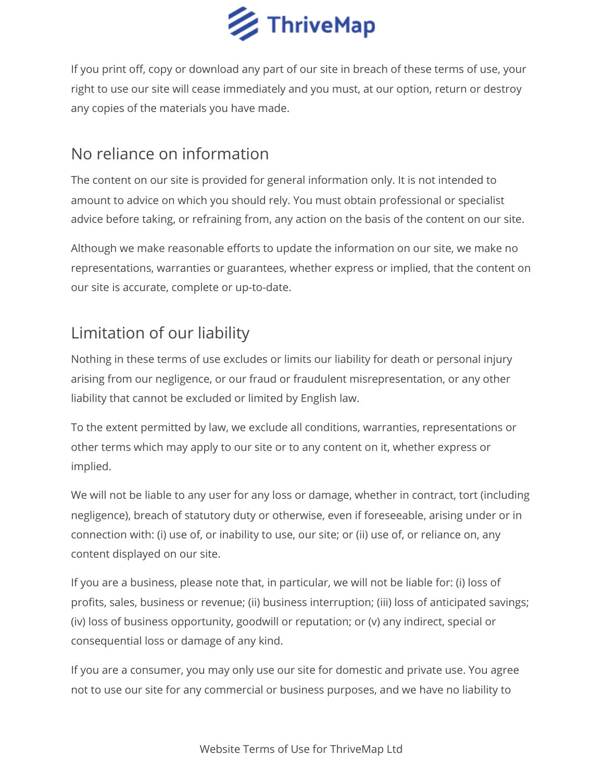

If you print off, copy or download any part of our site in breach of these terms of use, your right to use our site will cease immediately and you must, at our option, return or destroy any copies of the materials you have made.

### No reliance on information

The content on our site is provided for general information only. It is not intended to amount to advice on which you should rely. You must obtain professional or specialist advice before taking, or refraining from, any action on the basis of the content on our site.

Although we make reasonable efforts to update the information on our site, we make no representations, warranties or guarantees, whether express or implied, that the content on our site is accurate, complete or up-to-date.

# Limitation of our liability

Nothing in these terms of use excludes or limits our liability for death or personal injury arising from our negligence, or our fraud or fraudulent misrepresentation, or any other liability that cannot be excluded or limited by English law.

To the extent permitted by law, we exclude all conditions, warranties, representations or other terms which may apply to our site or to any content on it, whether express or implied.

We will not be liable to any user for any loss or damage, whether in contract, tort (including negligence), breach of statutory duty or otherwise, even if foreseeable, arising under or in connection with: (i) use of, or inability to use, our site; or (ii) use of, or reliance on, any content displayed on our site.

If you are a business, please note that, in particular, we will not be liable for: (i) loss of profits, sales, business or revenue; (ii) business interruption; (iii) loss of anticipated savings; (iv) loss of business opportunity, goodwill or reputation; or (v) any indirect, special or consequential loss or damage of any kind.

If you are a consumer, you may only use our site for domestic and private use. You agree not to use our site for any commercial or business purposes, and we have no liability to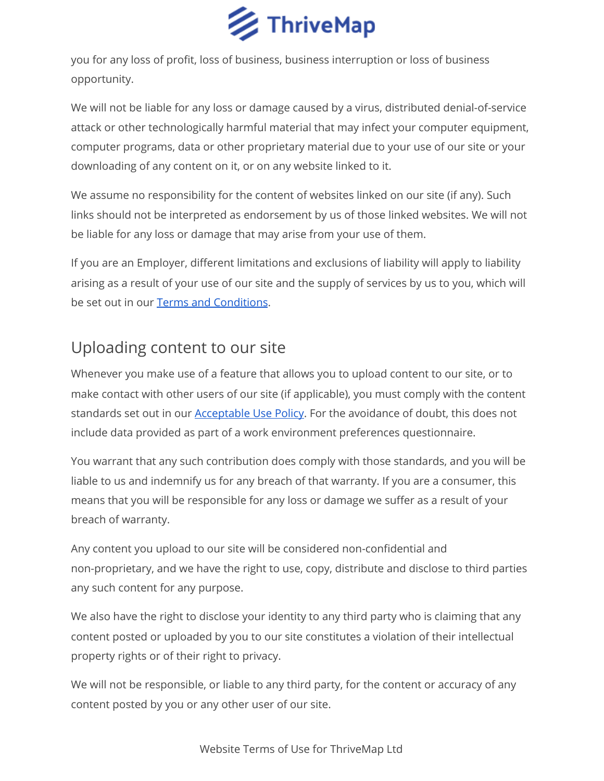

you for any loss of profit, loss of business, business interruption or loss of business opportunity.

We will not be liable for any loss or damage caused by a virus, distributed denial-of-service attack or other technologically harmful material that may infect your computer equipment, computer programs, data or other proprietary material due to your use of our site or your downloading of any content on it, or on any website linked to it.

We assume no responsibility for the content of websites linked on our site (if any). Such links should not be interpreted as endorsement by us of those linked websites. We will not be liable for any loss or damage that may arise from your use of them.

If you are an Employer, different limitations and exclusions of liability will apply to liability arising as a result of your use of our site and the supply of services by us to you, which will be set out in our Terms and [Conditions.](https://app.thrivemap.io/doc/terms-and-conditions.pdf)

### Uploading content to our site

Whenever you make use of a feature that allows you to upload content to our site, or to make contact with other users of our site (if applicable), you must comply with the content standards set out in our [Acceptable](https://app.thrivemap.io/doc/acceptable-use-policy.pdf) Use Policy. For the avoidance of doubt, this does not include data provided as part of a work environment preferences questionnaire.

You warrant that any such contribution does comply with those standards, and you will be liable to us and indemnify us for any breach of that warranty. If you are a consumer, this means that you will be responsible for any loss or damage we suffer as a result of your breach of warranty.

Any content you upload to our site will be considered non-confidential and non-proprietary, and we have the right to use, copy, distribute and disclose to third parties any such content for any purpose.

We also have the right to disclose your identity to any third party who is claiming that any content posted or uploaded by you to our site constitutes a violation of their intellectual property rights or of their right to privacy.

We will not be responsible, or liable to any third party, for the content or accuracy of any content posted by you or any other user of our site.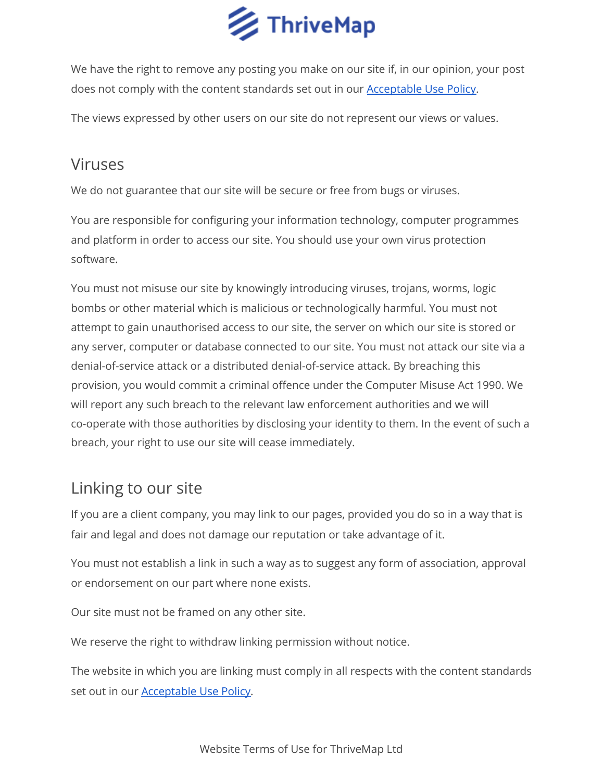

We have the right to remove any posting you make on our site if, in our opinion, your post does not comply with the content standards set out in our **[Acceptable](https://app.thrivemap.io/doc/acceptable-use-policy.pdf) Use Policy**.

The views expressed by other users on our site do not represent our views or values.

#### Viruses

We do not guarantee that our site will be secure or free from bugs or viruses.

You are responsible for configuring your information technology, computer programmes and platform in order to access our site. You should use your own virus protection software.

You must not misuse our site by knowingly introducing viruses, trojans, worms, logic bombs or other material which is malicious or technologically harmful. You must not attempt to gain unauthorised access to our site, the server on which our site is stored or any server, computer or database connected to our site. You must not attack our site via a denial-of-service attack or a distributed denial-of-service attack. By breaching this provision, you would commit a criminal offence under the Computer Misuse Act 1990. We will report any such breach to the relevant law enforcement authorities and we will co-operate with those authorities by disclosing your identity to them. In the event of such a breach, your right to use our site will cease immediately.

#### Linking to our site

If you are a client company, you may link to our pages, provided you do so in a way that is fair and legal and does not damage our reputation or take advantage of it.

You must not establish a link in such a way as to suggest any form of association, approval or endorsement on our part where none exists.

Our site must not be framed on any other site.

We reserve the right to withdraw linking permission without notice.

The website in which you are linking must comply in all respects with the content standards set out in our [Acceptable](https://app.thrivemap.io/doc/acceptable-use-policy.pdf) Use Policy.